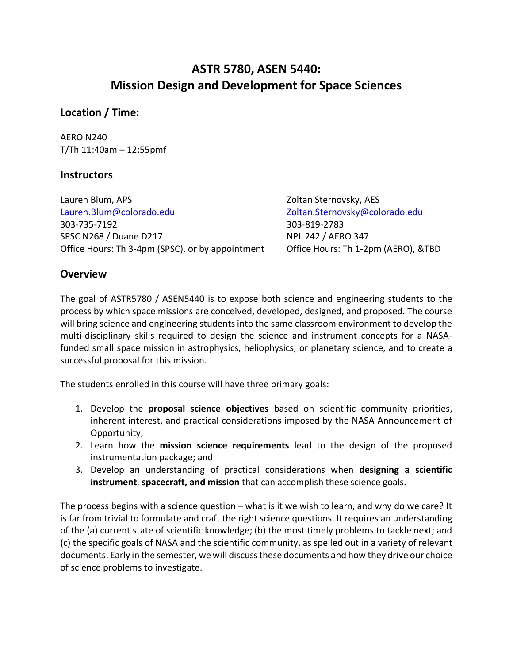# **ASTR 5780, ASEN 5440: Mission Design and Development for Space Sciences**

## **Location / Time:**

AERO N240 T/Th 11:40am – 12:55pmf

## **Instructors**

Lauren Blum, APS **Zoltan Sternovsky, AES** Lauren.Blum@colorado.edu Zoltan.Sternovsky@colorado.edu 303-735-7192 303-819-2783 SPSC N268 / Duane D217 NPL 242 / AERO 347 Office Hours: Th 3-4pm (SPSC), or by appointment Office Hours: Th 1-2pm (AERO), &TBD

## **Overview**

The goal of ASTR5780 / ASEN5440 is to expose both science and engineering students to the process by which space missions are conceived, developed, designed, and proposed. The course will bring science and engineering students into the same classroom environment to develop the multi-disciplinary skills required to design the science and instrument concepts for a NASAfunded small space mission in astrophysics, heliophysics, or planetary science, and to create a successful proposal for this mission.

The students enrolled in this course will have three primary goals:

- 1. Develop the **proposal science objectives** based on scientific community priorities, inherent interest, and practical considerations imposed by the NASA Announcement of Opportunity;
- 2. Learn how the **mission science requirements** lead to the design of the proposed instrumentation package; and
- 3. Develop an understanding of practical considerations when **designing a scientific instrument**, **spacecraft, and mission** that can accomplish these science goals.

The process begins with a science question – what is it we wish to learn, and why do we care? It is far from trivial to formulate and craft the right science questions. It requires an understanding of the (a) current state of scientific knowledge; (b) the most timely problems to tackle next; and (c) the specific goals of NASA and the scientific community, as spelled out in a variety of relevant documents. Early in the semester, we will discuss these documents and how they drive our choice of science problems to investigate.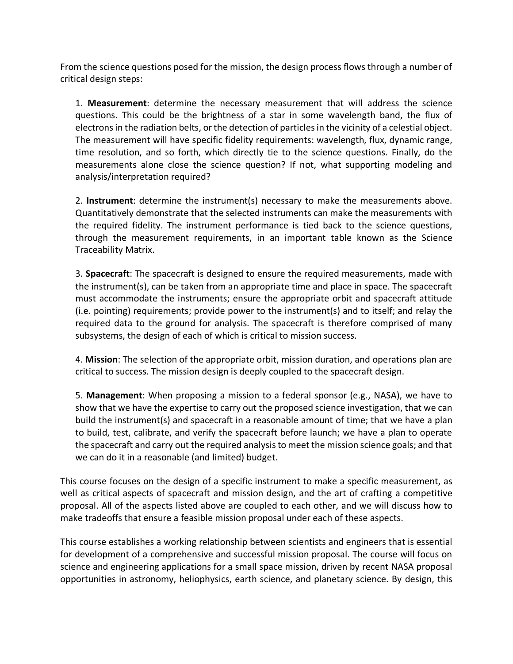From the science questions posed for the mission, the design process flows through a number of critical design steps:

1. **Measurement**: determine the necessary measurement that will address the science questions. This could be the brightness of a star in some wavelength band, the flux of electrons in the radiation belts, or the detection of particles in the vicinity of a celestial object. The measurement will have specific fidelity requirements: wavelength, flux, dynamic range, time resolution, and so forth, which directly tie to the science questions. Finally, do the measurements alone close the science question? If not, what supporting modeling and analysis/interpretation required?

2. **Instrument**: determine the instrument(s) necessary to make the measurements above. Quantitatively demonstrate that the selected instruments can make the measurements with the required fidelity. The instrument performance is tied back to the science questions, through the measurement requirements, in an important table known as the Science Traceability Matrix.

3. **Spacecraft**: The spacecraft is designed to ensure the required measurements, made with the instrument(s), can be taken from an appropriate time and place in space. The spacecraft must accommodate the instruments; ensure the appropriate orbit and spacecraft attitude (i.e. pointing) requirements; provide power to the instrument(s) and to itself; and relay the required data to the ground for analysis. The spacecraft is therefore comprised of many subsystems, the design of each of which is critical to mission success.

4. **Mission**: The selection of the appropriate orbit, mission duration, and operations plan are critical to success. The mission design is deeply coupled to the spacecraft design.

5. **Management**: When proposing a mission to a federal sponsor (e.g., NASA), we have to show that we have the expertise to carry out the proposed science investigation, that we can build the instrument(s) and spacecraft in a reasonable amount of time; that we have a plan to build, test, calibrate, and verify the spacecraft before launch; we have a plan to operate the spacecraft and carry out the required analysis to meet the mission science goals; and that we can do it in a reasonable (and limited) budget.

This course focuses on the design of a specific instrument to make a specific measurement, as well as critical aspects of spacecraft and mission design, and the art of crafting a competitive proposal. All of the aspects listed above are coupled to each other, and we will discuss how to make tradeoffs that ensure a feasible mission proposal under each of these aspects.

This course establishes a working relationship between scientists and engineers that is essential for development of a comprehensive and successful mission proposal. The course will focus on science and engineering applications for a small space mission, driven by recent NASA proposal opportunities in astronomy, heliophysics, earth science, and planetary science. By design, this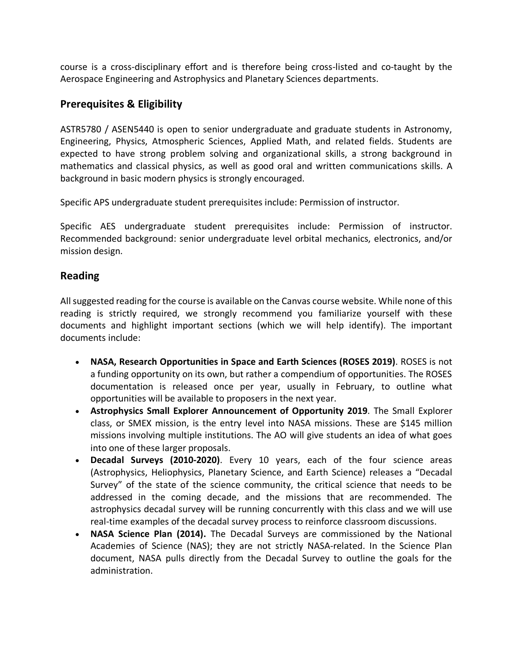course is a cross-disciplinary effort and is therefore being cross-listed and co-taught by the Aerospace Engineering and Astrophysics and Planetary Sciences departments.

### **Prerequisites & Eligibility**

ASTR5780 / ASEN5440 is open to senior undergraduate and graduate students in Astronomy, Engineering, Physics, Atmospheric Sciences, Applied Math, and related fields. Students are expected to have strong problem solving and organizational skills, a strong background in mathematics and classical physics, as well as good oral and written communications skills. A background in basic modern physics is strongly encouraged.

Specific APS undergraduate student prerequisites include: Permission of instructor.

Specific AES undergraduate student prerequisites include: Permission of instructor. Recommended background: senior undergraduate level orbital mechanics, electronics, and/or mission design.

### **Reading**

All suggested reading for the course is available on the Canvas course website. While none of this reading is strictly required, we strongly recommend you familiarize yourself with these documents and highlight important sections (which we will help identify). The important documents include:

- **NASA, Research Opportunities in Space and Earth Sciences (ROSES 2019)**. ROSES is not a funding opportunity on its own, but rather a compendium of opportunities. The ROSES documentation is released once per year, usually in February, to outline what opportunities will be available to proposers in the next year.
- **Astrophysics Small Explorer Announcement of Opportunity 2019**. The Small Explorer class, or SMEX mission, is the entry level into NASA missions. These are \$145 million missions involving multiple institutions. The AO will give students an idea of what goes into one of these larger proposals.
- **Decadal Surveys (2010-2020)**. Every 10 years, each of the four science areas (Astrophysics, Heliophysics, Planetary Science, and Earth Science) releases a "Decadal Survey" of the state of the science community, the critical science that needs to be addressed in the coming decade, and the missions that are recommended. The astrophysics decadal survey will be running concurrently with this class and we will use real-time examples of the decadal survey process to reinforce classroom discussions.
- **NASA Science Plan (2014).** The Decadal Surveys are commissioned by the National Academies of Science (NAS); they are not strictly NASA-related. In the Science Plan document, NASA pulls directly from the Decadal Survey to outline the goals for the administration.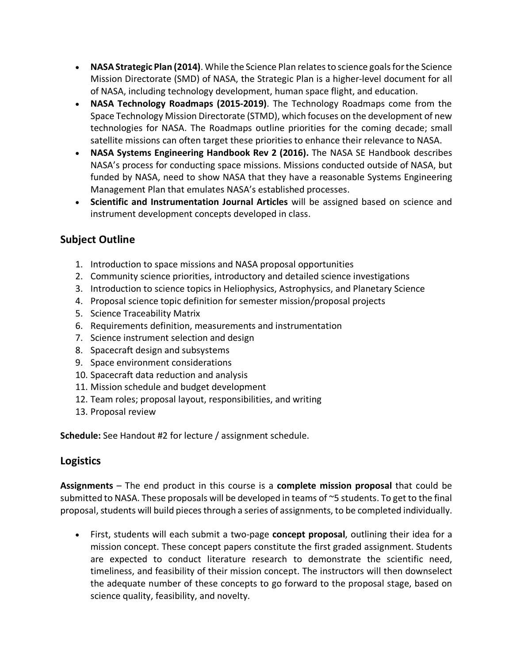- **NASA Strategic Plan (2014)**. While the Science Plan relates to science goals for the Science Mission Directorate (SMD) of NASA, the Strategic Plan is a higher-level document for all of NASA, including technology development, human space flight, and education.
- **NASA Technology Roadmaps (2015-2019)**. The Technology Roadmaps come from the Space Technology Mission Directorate (STMD), which focuses on the development of new technologies for NASA. The Roadmaps outline priorities for the coming decade; small satellite missions can often target these priorities to enhance their relevance to NASA.
- **NASA Systems Engineering Handbook Rev 2 (2016).** The NASA SE Handbook describes NASA's process for conducting space missions. Missions conducted outside of NASA, but funded by NASA, need to show NASA that they have a reasonable Systems Engineering Management Plan that emulates NASA's established processes.
- **Scientific and Instrumentation Journal Articles** will be assigned based on science and instrument development concepts developed in class.

## **Subject Outline**

- 1. Introduction to space missions and NASA proposal opportunities
- 2. Community science priorities, introductory and detailed science investigations
- 3. Introduction to science topics in Heliophysics, Astrophysics, and Planetary Science
- 4. Proposal science topic definition for semester mission/proposal projects
- 5. Science Traceability Matrix
- 6. Requirements definition, measurements and instrumentation
- 7. Science instrument selection and design
- 8. Spacecraft design and subsystems
- 9. Space environment considerations
- 10. Spacecraft data reduction and analysis
- 11. Mission schedule and budget development
- 12. Team roles; proposal layout, responsibilities, and writing
- 13. Proposal review

**Schedule:** See Handout #2 for lecture / assignment schedule.

## **Logistics**

**Assignments** – The end product in this course is a **complete mission proposal** that could be submitted to NASA. These proposals will be developed in teams of ~5 students. To get to the final proposal, students will build pieces through a series of assignments, to be completed individually.

• First, students will each submit a two-page **concept proposal**, outlining their idea for a mission concept. These concept papers constitute the first graded assignment. Students are expected to conduct literature research to demonstrate the scientific need, timeliness, and feasibility of their mission concept. The instructors will then downselect the adequate number of these concepts to go forward to the proposal stage, based on science quality, feasibility, and novelty.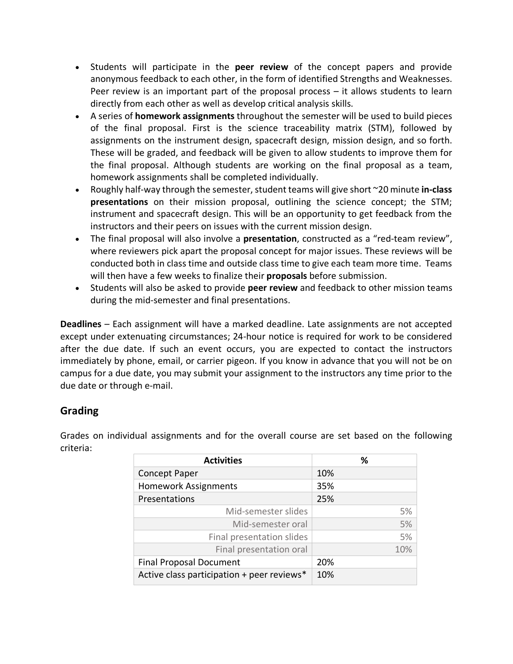- Students will participate in the **peer review** of the concept papers and provide anonymous feedback to each other, in the form of identified Strengths and Weaknesses. Peer review is an important part of the proposal process – it allows students to learn directly from each other as well as develop critical analysis skills.
- A series of **homework assignments** throughout the semester will be used to build pieces of the final proposal. First is the science traceability matrix (STM), followed by assignments on the instrument design, spacecraft design, mission design, and so forth. These will be graded, and feedback will be given to allow students to improve them for the final proposal. Although students are working on the final proposal as a team, homework assignments shall be completed individually.
- Roughly half-way through the semester, student teams will give short ~20 minute **in-class presentations** on their mission proposal, outlining the science concept; the STM; instrument and spacecraft design. This will be an opportunity to get feedback from the instructors and their peers on issues with the current mission design.
- The final proposal will also involve a **presentation**, constructed as a "red-team review", where reviewers pick apart the proposal concept for major issues. These reviews will be conducted both in class time and outside class time to give each team more time. Teams will then have a few weeks to finalize their **proposals** before submission.
- Students will also be asked to provide **peer review** and feedback to other mission teams during the mid-semester and final presentations.

**Deadlines** – Each assignment will have a marked deadline. Late assignments are not accepted except under extenuating circumstances; 24-hour notice is required for work to be considered after the due date. If such an event occurs, you are expected to contact the instructors immediately by phone, email, or carrier pigeon. If you know in advance that you will not be on campus for a due date, you may submit your assignment to the instructors any time prior to the due date or through e-mail.

## **Grading**

Grades on individual assignments and for the overall course are set based on the following criteria:

| <b>Activities</b>                          | ℅   |
|--------------------------------------------|-----|
| <b>Concept Paper</b>                       | 10% |
| <b>Homework Assignments</b>                | 35% |
| Presentations                              | 25% |
| Mid-semester slides                        | 5%  |
| Mid-semester oral                          | 5%  |
| Final presentation slides                  | 5%  |
| Final presentation oral                    | 10% |
| <b>Final Proposal Document</b>             | 20% |
| Active class participation + peer reviews* | 10% |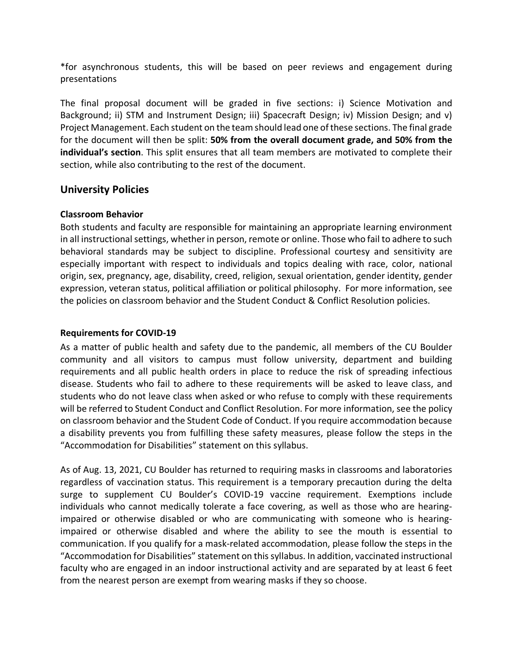\*for asynchronous students, this will be based on peer reviews and engagement during presentations

The final proposal document will be graded in five sections: i) Science Motivation and Background; ii) STM and Instrument Design; iii) Spacecraft Design; iv) Mission Design; and v) Project Management. Each student on the team should lead one of these sections. The final grade for the document will then be split: **50% from the overall document grade, and 50% from the individual's section**. This split ensures that all team members are motivated to complete their section, while also contributing to the rest of the document.

### **University Policies**

#### **Classroom Behavior**

Both students and faculty are responsible for maintaining an appropriate learning environment in all instructional settings, whether in person, remote or online. Those who fail to adhere to such behavioral standards may be subject to discipline. Professional courtesy and sensitivity are especially important with respect to individuals and topics dealing with race, color, national origin, sex, pregnancy, age, disability, creed, religion, sexual orientation, gender identity, gender expression, veteran status, political affiliation or political philosophy. For more information, see the policies on classroom behavior and the Student Conduct & Conflict Resolution policies.

#### **Requirements for COVID-19**

As a matter of public health and safety due to the pandemic, all members of the CU Boulder community and all visitors to campus must follow university, department and building requirements and all public health orders in place to reduce the risk of spreading infectious disease. Students who fail to adhere to these requirements will be asked to leave class, and students who do not leave class when asked or who refuse to comply with these requirements will be referred to Student Conduct and Conflict Resolution. For more information, see the policy on classroom behavior and the Student Code of Conduct. If you require accommodation because a disability prevents you from fulfilling these safety measures, please follow the steps in the "Accommodation for Disabilities" statement on this syllabus.

As of Aug. 13, 2021, CU Boulder has returned to requiring masks in classrooms and laboratories regardless of vaccination status. This requirement is a temporary precaution during the delta surge to supplement CU Boulder's COVID-19 vaccine requirement. Exemptions include individuals who cannot medically tolerate a face covering, as well as those who are hearingimpaired or otherwise disabled or who are communicating with someone who is hearingimpaired or otherwise disabled and where the ability to see the mouth is essential to communication. If you qualify for a mask-related accommodation, please follow the steps in the "Accommodation for Disabilities" statement on this syllabus. In addition, vaccinated instructional faculty who are engaged in an indoor instructional activity and are separated by at least 6 feet from the nearest person are exempt from wearing masks if they so choose.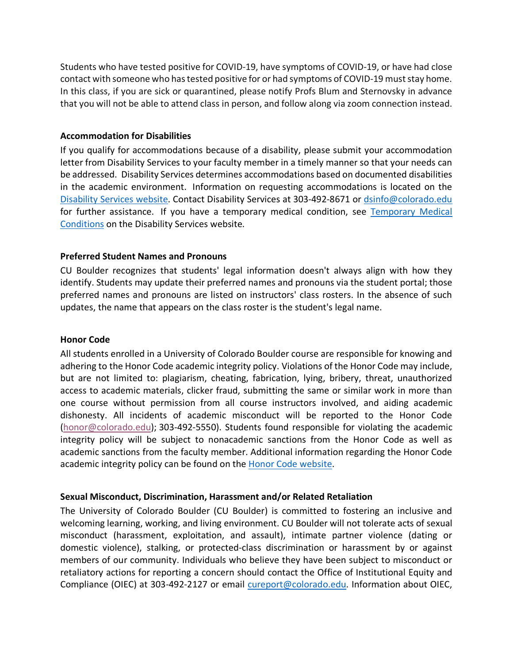Students who have tested positive for COVID-19, have symptoms of COVID-19, or have had close contact with someone who has tested positive for or had symptoms of COVID-19 must stay home. In this class, if you are sick or quarantined, please notify Profs Blum and Sternovsky in advance that you will not be able to attend class in person, and follow along via zoom connection instead.

#### **Accommodation for Disabilities**

If you qualify for accommodations because of a disability, please submit your accommodation letter from Disability Services to your faculty member in a timely manner so that your needs can be addressed. Disability Services determines accommodations based on documented disabilities in the academic environment. Information on requesting accommodations is located on the Disability Services website. Contact Disability Services at 303-492-8671 or dsinfo@colorado.edu for further assistance. If you have a temporary medical condition, see Temporary Medical Conditions on the Disability Services website.

#### **Preferred Student Names and Pronouns**

CU Boulder recognizes that students' legal information doesn't always align with how they identify. Students may update their preferred names and pronouns via the student portal; those preferred names and pronouns are listed on instructors' class rosters. In the absence of such updates, the name that appears on the class roster is the student's legal name.

#### **Honor Code**

All students enrolled in a University of Colorado Boulder course are responsible for knowing and adhering to the Honor Code academic integrity policy. Violations of the Honor Code may include, but are not limited to: plagiarism, cheating, fabrication, lying, bribery, threat, unauthorized access to academic materials, clicker fraud, submitting the same or similar work in more than one course without permission from all course instructors involved, and aiding academic dishonesty. All incidents of academic misconduct will be reported to the Honor Code (honor@colorado.edu); 303-492-5550). Students found responsible for violating the academic integrity policy will be subject to nonacademic sanctions from the Honor Code as well as academic sanctions from the faculty member. Additional information regarding the Honor Code academic integrity policy can be found on the Honor Code website.

#### **Sexual Misconduct, Discrimination, Harassment and/or Related Retaliation**

The University of Colorado Boulder (CU Boulder) is committed to fostering an inclusive and welcoming learning, working, and living environment. CU Boulder will not tolerate acts of sexual misconduct (harassment, exploitation, and assault), intimate partner violence (dating or domestic violence), stalking, or protected-class discrimination or harassment by or against members of our community. Individuals who believe they have been subject to misconduct or retaliatory actions for reporting a concern should contact the Office of Institutional Equity and Compliance (OIEC) at 303-492-2127 or email cureport@colorado.edu. Information about OIEC,